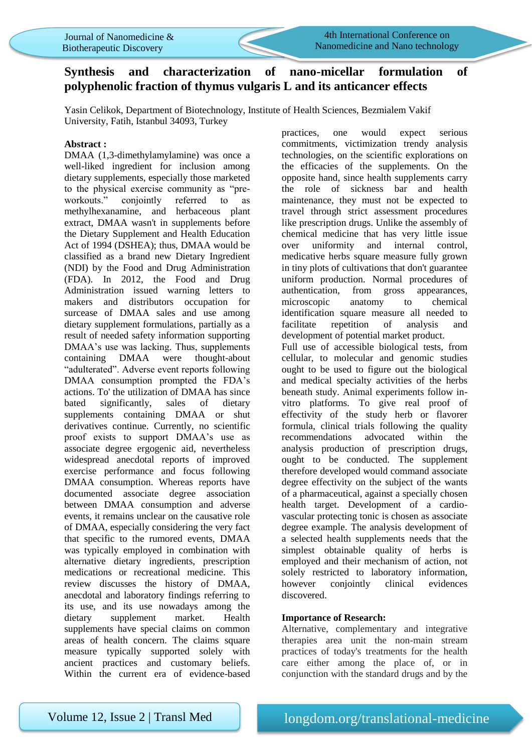

4th International Conference on Nanomedicine and Nano technology

# **Synthesis and characterization of nano-micellar formulation of polyphenolic fraction of thymus vulgaris L and its anticancer effects**

Yasin Celikok, Department of Biotechnology, Institute of Health Sciences, Bezmialem Vakif University, Fatih, Istanbul 34093, Turkey

## **Abstract :**

DMAA (1,3-dimethylamylamine) was once a well-liked ingredient for inclusion among dietary supplements, especially those marketed to the physical exercise community as "preworkouts." conjointly referred to as methylhexanamine, and herbaceous plant extract, DMAA wasn't in supplements before the Dietary Supplement and Health Education Act of 1994 (DSHEA); thus, DMAA would be classified as a brand new Dietary Ingredient (NDI) by the Food and Drug Administration (FDA). In 2012, the Food and Drug Administration issued warning letters to makers and distributors occupation for surcease of DMAA sales and use among dietary supplement formulations, partially as a result of needed safety information supporting DMAA's use was lacking. Thus, supplements containing DMAA were thought-about "adulterated". Adverse event reports following DMAA consumption prompted the FDA's actions. To' the utilization of DMAA has since bated significantly, sales of dietary supplements containing DMAA or shut derivatives continue. Currently, no scientific proof exists to support DMAA's use as associate degree ergogenic aid, nevertheless widespread anecdotal reports of improved exercise performance and focus following DMAA consumption. Whereas reports have documented associate degree association between DMAA consumption and adverse events, it remains unclear on the causative role of DMAA, especially considering the very fact that specific to the rumored events, DMAA was typically employed in combination with alternative dietary ingredients, prescription medications or recreational medicine. This review discusses the history of DMAA, anecdotal and laboratory findings referring to its use, and its use nowadays among the dietary supplement market. Health supplements have special claims on common areas of health concern. The claims square measure typically supported solely with ancient practices and customary beliefs. Within the current era of evidence-based

practices, one would expect serious commitments, victimization trendy analysis technologies, on the scientific explorations on the efficacies of the supplements. On the opposite hand, since health supplements carry the role of sickness bar and health maintenance, they must not be expected to travel through strict assessment procedures like prescription drugs. Unlike the assembly of chemical medicine that has very little issue over uniformity and internal control, medicative herbs square measure fully grown in tiny plots of cultivations that don't guarantee uniform production. Normal procedures of authentication, from gross appearances, microscopic anatomy to chemical identification square measure all needed to facilitate repetition of analysis and development of potential market product. Full use of accessible biological tests, from cellular, to molecular and genomic studies ought to be used to figure out the biological and medical specialty activities of the herbs beneath study. Animal experiments follow invitro platforms. To give real proof of effectivity of the study herb or flavorer formula, clinical trials following the quality recommendations advocated within the analysis production of prescription drugs, ought to be conducted. The supplement therefore developed would command associate degree effectivity on the subject of the wants of a pharmaceutical, against a specially chosen health target. Development of a cardiovascular protecting tonic is chosen as associate degree example. The analysis development of a selected health supplements needs that the simplest obtainable quality of herbs is employed and their mechanism of action, not solely restricted to laboratory information, however conjointly clinical evidences discovered.

### **Importance of Research:**

Alternative, complementary and integrative therapies area unit the non-main stream practices of today's treatments for the health care either among the place of, or in conjunction with the standard drugs and by the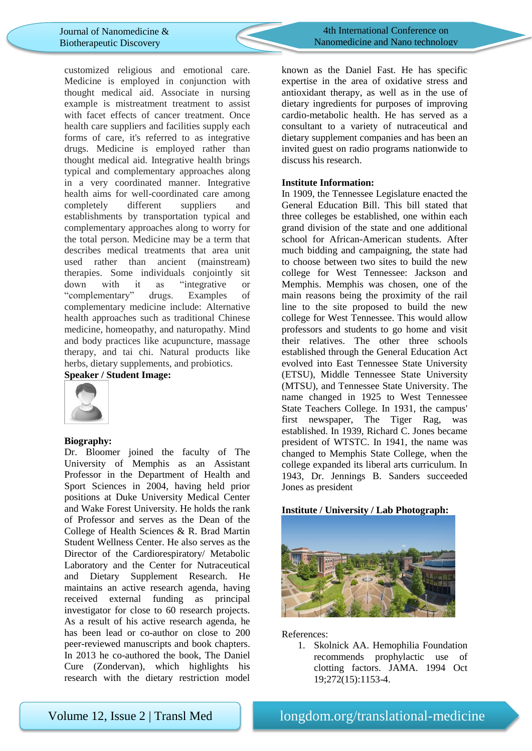

4th International Conference on Nanomedicine and Nano technology

customized religious and emotional care. Medicine is employed in conjunction with thought medical aid. Associate in nursing example is mistreatment treatment to assist with facet effects of cancer treatment. Once health care suppliers and facilities supply each forms of care, it's referred to as integrative drugs. Medicine is employed rather than thought medical aid. Integrative health brings typical and complementary approaches along in a very coordinated manner. Integrative health aims for well-coordinated care among completely different suppliers and establishments by transportation typical and complementary approaches along to worry for the total person. Medicine may be a term that describes medical treatments that area unit used rather than ancient (mainstream) therapies. Some individuals conjointly sit down with it as "integrative or "complementary" drugs. Examples of complementary medicine include: Alternative health approaches such as traditional Chinese medicine, homeopathy, and naturopathy. Mind and body practices like acupuncture, massage therapy, and tai chi. Natural products like herbs, dietary supplements, and probiotics.

# **Speaker / Student Image:**



### **Biography:**

Dr. Bloomer joined the faculty of The University of Memphis as an Assistant Professor in the Department of Health and Sport Sciences in 2004, having held prior positions at Duke University Medical Center and Wake Forest University. He holds the rank of Professor and serves as the Dean of the College of Health Sciences & R. Brad Martin Student Wellness Center. He also serves as the Director of the Cardiorespiratory/ Metabolic Laboratory and the Center for Nutraceutical and Dietary Supplement Research. He maintains an active research agenda, having received external funding as principal investigator for close to 60 research projects. As a result of his active research agenda, he has been lead or co-author on close to 200 peer-reviewed manuscripts and book chapters. In 2013 he co-authored the book, The Daniel Cure (Zondervan), which highlights his research with the dietary restriction model known as the Daniel Fast. He has specific expertise in the area of oxidative stress and antioxidant therapy, as well as in the use of dietary ingredients for purposes of improving cardio-metabolic health. He has served as a consultant to a variety of nutraceutical and dietary supplement companies and has been an invited guest on radio programs nationwide to discuss his research.

### **Institute Information:**

In 1909, the Tennessee Legislature enacted the General Education Bill. This bill stated that three colleges be established, one within each grand division of the state and one additional school for African-American students. After much bidding and campaigning, the state had to choose between two sites to build the new college for West Tennessee: Jackson and Memphis. Memphis was chosen, one of the main reasons being the proximity of the rail line to the site proposed to build the new college for West Tennessee. This would allow professors and students to go home and visit their relatives. The other three schools established through the General Education Act evolved into East Tennessee State University (ETSU), Middle Tennessee State University (MTSU), and Tennessee State University. The name changed in 1925 to West Tennessee State Teachers College. In 1931, the campus' first newspaper, The Tiger Rag, was established. In 1939, Richard C. Jones became president of WTSTC. In 1941, the name was changed to Memphis State College, when the college expanded its liberal arts curriculum. In 1943, Dr. Jennings B. Sanders succeeded Jones as president

#### **Institute / University / Lab Photograph:**



References:

1. Skolnick AA. Hemophilia Foundation recommends prophylactic use of clotting factors. JAMA. 1994 Oct 19;272(15):1153-4.